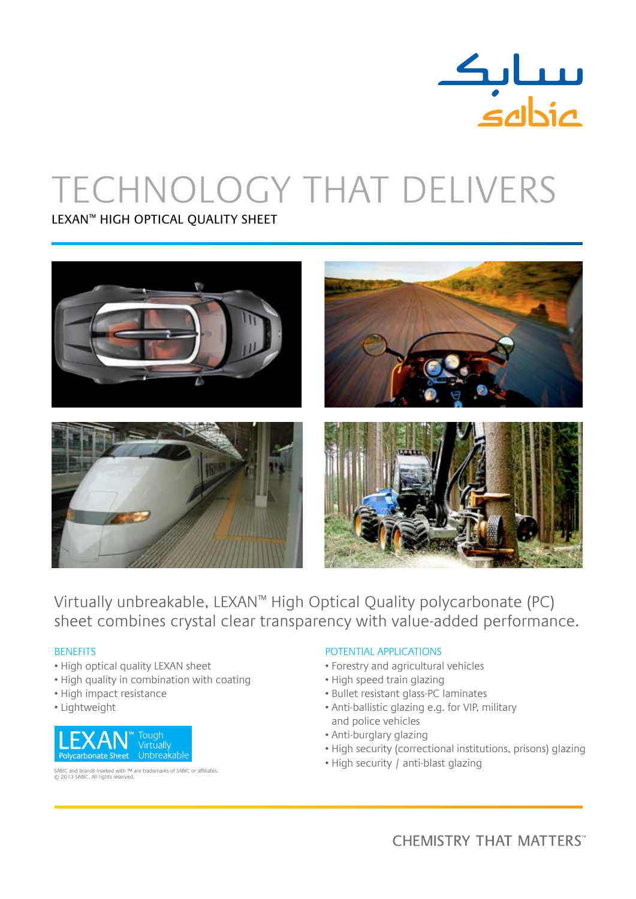

# Technology that Delivers

Lexan™ High Optical Quality Sheet



Virtually unbreakable, LEXAN™ High Optical Quality polycarbonate (PC) sheet combines crystal clear transparency with value-added performance.

### **BENEFITS**

- High optical quality LEXAN sheet
- High quality in combination with coating
- High impact resistance
- Lightweight



SABIC and brands marked with ™ are trademarks of SABIC or affiliates. © 2013 SABIC. All rights reserved.

## Potential applications

- Forestry and agricultural vehicles
- High speed train glazing
- Bullet resistant glass-PC laminates
- Anti-ballistic glazing e.g. for VIP, military and police vehicles
- Anti-burglary glazing
- High security (correctional institutions, prisons) glazing
- High security / anti-blast glazing

**CHEMISTRY THAT MATTERS**